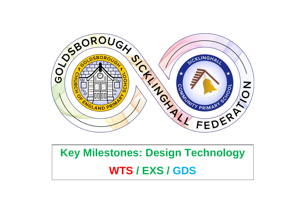

## **Key Milestones: Design Technology WTS / EXS / GDS**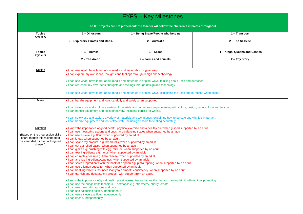| <b>EYFS - Key Milestones</b>                                                                                                    |                                                                                                                                                                                                                                                                                                                                                                                                                                                                                                                                                                                                                                                                                                                                                                                                                                                                                                                                                                                                                                                                                                                                                                                                                                                                                                                                                                                                                                                                                                               |                       |                 |  |  |  |  |
|---------------------------------------------------------------------------------------------------------------------------------|---------------------------------------------------------------------------------------------------------------------------------------------------------------------------------------------------------------------------------------------------------------------------------------------------------------------------------------------------------------------------------------------------------------------------------------------------------------------------------------------------------------------------------------------------------------------------------------------------------------------------------------------------------------------------------------------------------------------------------------------------------------------------------------------------------------------------------------------------------------------------------------------------------------------------------------------------------------------------------------------------------------------------------------------------------------------------------------------------------------------------------------------------------------------------------------------------------------------------------------------------------------------------------------------------------------------------------------------------------------------------------------------------------------------------------------------------------------------------------------------------------------|-----------------------|-----------------|--|--|--|--|
| The DT projects are not plotted out: the teacher will follow the children's interests throughout.                               |                                                                                                                                                                                                                                                                                                                                                                                                                                                                                                                                                                                                                                                                                                                                                                                                                                                                                                                                                                                                                                                                                                                                                                                                                                                                                                                                                                                                                                                                                                               |                       |                 |  |  |  |  |
| <b>Topics</b><br><b>Cycle A</b>                                                                                                 | 1 - Dinosaurs<br>1 - Being Brave/People who help us<br>1 - Transport                                                                                                                                                                                                                                                                                                                                                                                                                                                                                                                                                                                                                                                                                                                                                                                                                                                                                                                                                                                                                                                                                                                                                                                                                                                                                                                                                                                                                                          |                       |                 |  |  |  |  |
|                                                                                                                                 | 2 - Explorers, Pirates and Maps.                                                                                                                                                                                                                                                                                                                                                                                                                                                                                                                                                                                                                                                                                                                                                                                                                                                                                                                                                                                                                                                                                                                                                                                                                                                                                                                                                                                                                                                                              | 2 - Australia         | 2 - The Seaside |  |  |  |  |
| <b>Topics</b>                                                                                                                   | 1 - Kings, Queens and Castles<br>$1 -$ Homes<br>1 - Space                                                                                                                                                                                                                                                                                                                                                                                                                                                                                                                                                                                                                                                                                                                                                                                                                                                                                                                                                                                                                                                                                                                                                                                                                                                                                                                                                                                                                                                     |                       |                 |  |  |  |  |
| Cycle B                                                                                                                         | 2 – The Arctic                                                                                                                                                                                                                                                                                                                                                                                                                                                                                                                                                                                                                                                                                                                                                                                                                                                                                                                                                                                                                                                                                                                                                                                                                                                                                                                                                                                                                                                                                                | 2 – Farms and animals | 2 – Toy Story   |  |  |  |  |
| Design                                                                                                                          | • I can use what I have learnt about media and materials in original ways.<br>• I can explore my own ideas, thoughts and feelings through design and technology.<br>• I can use what I have learnt about media and materials in original ways, thinking about uses and purposes.<br>• I can represent my own ideas, thoughts and feelings through design and technology.<br>• I can use what I have learnt about media and materials in original ways, explaining the uses and purposes when asked.                                                                                                                                                                                                                                                                                                                                                                                                                                                                                                                                                                                                                                                                                                                                                                                                                                                                                                                                                                                                           |                       |                 |  |  |  |  |
| Make                                                                                                                            | . I can handle equipment and tools carefully and safely when supported.<br>• I can safely use and explore a variety of materials and techniques, experimenting with colour, design, texture, form and function.<br>• I can handle equipment and tools effectively, including pencils for writing.<br>• I can safely use and explore a variety of materials and techniques, explaining how to be safe and why it is important.<br>• I can handle equipment and tools effectively, including scissors for cutting accurately.                                                                                                                                                                                                                                                                                                                                                                                                                                                                                                                                                                                                                                                                                                                                                                                                                                                                                                                                                                                   |                       |                 |  |  |  |  |
| Nutrition<br>(Based on the progression skills)<br>chart, though this may need to<br>be amended for the cooking unit<br>chosen). | . I know the importance of good health, physical exercise and a healthy diet when guided/supported by an adult.<br>. I can use measuring spoons and cups, and balancing scales when supported by an adult.<br>. I can use a sieve e.g. flour, when supported by an adult.<br>. I can knead when supported by an adult.<br>• I can shape my product, e.g. bread rolls, when supported by an adult.<br>. I can cut out rolled pastry, when supported by an adult.<br>. I can glaze e.g. brushing with egg, milk, oil, when supported by an adult.<br>• I can tear ingredients e.g. herbs, when supported by an adult.<br>• I can crumble cheese e.g. Feta cheese, when supported by an adult.<br>• I can arrange ingredients/toppings, when supported by an adult.<br>. I can spread ingredients with the back of a spoon e.g. pizza topping, when supported by an adult.<br>• I can use a lemon squeezer, when supported by an adult.<br>. I can beat ingredients, not necessarily to a smooth consistency, when supported by an adult.<br>. I can garnish and decorate my product, with support from an adult.<br>• I know the importance of good health, physical exercise and a healthy diet and can explain it with minimal prompting.<br>• I can use the bridge knife technique - soft foods e.g. strawberry, cherry tomato.<br>• I can use measuring spoons and cups.<br>• I can use balancing scales, independently.<br>• I can use a sieve e.g. flour, independently.<br>• I can knead, independently. |                       |                 |  |  |  |  |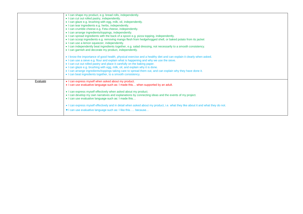|          | • I can shape my product, e.g. bread rolls, independently.<br>• I can cut out rolled pastry, independently.<br>• I can glaze e.g. brushing with egg, milk, oil, independently.<br>• I can tear ingredients e.g. herbs, independently.<br>• I can crumble cheese e.g. Feta cheese, independently.<br>• I can arrange ingredients/toppings, independently.<br>. I can spread ingredients with the back of a spoon e.g. pizza topping, independently.<br>. I can scoop ingredients e.g. removing mango flesh from hedgehogged shell, or baked potato from its jacket<br>• I can use a lemon squeezer, independently.                                                                                                                     |
|----------|---------------------------------------------------------------------------------------------------------------------------------------------------------------------------------------------------------------------------------------------------------------------------------------------------------------------------------------------------------------------------------------------------------------------------------------------------------------------------------------------------------------------------------------------------------------------------------------------------------------------------------------------------------------------------------------------------------------------------------------|
|          | . I can independently beat ingredients together, e.g. salad dressing, not necessarily to a smooth consistency.<br>• I can garnish and decorate my product, independently.<br>• I know the importance of good health, physical exercise and a healthy diet and can explain it clearly when asked.<br>• I can use a sieve e.g. flour and explain what is happening and why we use the sieve.<br>• I can cut out rolled pastry and place it carefully on the baking paper.<br>. I can glaze e.g. brushing with egg, milk, oil, and explain why it is done.<br>. I can arrange ingredients/toppings taking care to spread them out, and can explain why they have done it.<br>• I can beat ingredients together, to a smooth consistency. |
| Evaluate | • I can express myself when asked about my product.<br>. I can use evaluative language such as: I made this when supported by an adult.<br>. I can express myself effectively when asked about my product.<br>• I can develop my own narratives and explanations by connecting ideas and the events of my project.<br>• I can use evaluative language such as: I made this<br>• I can express myself effectively and in detail when asked about my product, i.e. what they like about it and what they do not.<br>• I can use evaluative language such as: I like this because                                                                                                                                                        |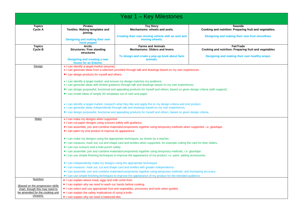| Year 1 – Key Milestones                                                       |                                                                                                                                                                                                                                                       |                                                                                                                                                                                                                                           |                                                                           |  |  |
|-------------------------------------------------------------------------------|-------------------------------------------------------------------------------------------------------------------------------------------------------------------------------------------------------------------------------------------------------|-------------------------------------------------------------------------------------------------------------------------------------------------------------------------------------------------------------------------------------------|---------------------------------------------------------------------------|--|--|
| <b>Topics</b><br>Cycle A                                                      | <b>Pirates</b><br><b>Textiles: Making templates and</b><br>joining.                                                                                                                                                                                   | <b>Toy Story</b><br>Mechanisms: wheels and axels.                                                                                                                                                                                         | <b>Seaside</b><br>Cooking and nutrition: Preparing fruit and vegetables.  |  |  |
|                                                                               | Designing and making their own<br>hand puppet                                                                                                                                                                                                         | Creating their own moving vehicle with an axel and<br>moving wheels.                                                                                                                                                                      | Designing and making their own fruit smoothies.                           |  |  |
| <b>Topics</b><br><b>Cycle B</b>                                               | <b>Arctic</b><br><b>Structures: Free standing</b><br><b>structures</b>                                                                                                                                                                                | <b>Farms and Animals</b><br><b>Mechanisms: Sliders and levers</b>                                                                                                                                                                         | <b>FairTrade</b><br>Cooking and nutrition: Preparing fruit and vegetables |  |  |
|                                                                               | <b>Designing and creating a new</b><br>house for an Eskimo.                                                                                                                                                                                           | To design and create a pop-up book about farm<br>animals.                                                                                                                                                                                 | Designing and making their own healthy wraps.                             |  |  |
| Design                                                                        | • I can identify a target market (anyone).                                                                                                                                                                                                            | . I can generate ideas from a selection provided through talk and drawings based on my own experiences.                                                                                                                                   |                                                                           |  |  |
|                                                                               | • I can design products for myself and others.<br>• I can identify a target market and ensure my design matches my audience.                                                                                                                          |                                                                                                                                                                                                                                           |                                                                           |  |  |
|                                                                               |                                                                                                                                                                                                                                                       | • I can generate ideas with limited guidance through talk and drawings based on my own experiences.<br>• I can design purposeful, functional and appealing products for myself and others, based on given design criteria (with support). |                                                                           |  |  |
|                                                                               | • I can model ideas of simple 2D templates out of card and paper.                                                                                                                                                                                     |                                                                                                                                                                                                                                           |                                                                           |  |  |
|                                                                               | . I can identify a target market, research what they like and apply this to my design criteria and end product.<br>. I can generate ideas independently through talk and drawings based on my own experiences.                                        |                                                                                                                                                                                                                                           |                                                                           |  |  |
| Make                                                                          | . I can design purposeful, functional and appealing products for myself and others, based on given design criteria.<br>• I can make my designs when supported.                                                                                        |                                                                                                                                                                                                                                           |                                                                           |  |  |
|                                                                               | • I can cut paper designs using scissors safely with guidance.<br>• I can assemble, join and combine materials/components together using temporary methods when supported, i.e. glue/tape.<br>• I can paint my end product to improve its appearance. |                                                                                                                                                                                                                                           |                                                                           |  |  |
|                                                                               | • I can make my designs using the appropriate techniques, as shown by a teacher.                                                                                                                                                                      |                                                                                                                                                                                                                                           |                                                                           |  |  |
|                                                                               | • I can use scissors and a hole punch safely.                                                                                                                                                                                                         | • I can measure, mark out, cut and shape card and textiles when supported, for example cutting the card for their sliders.                                                                                                                |                                                                           |  |  |
|                                                                               | I can assemble, join and combine materials/components together using temporary methods, i.e. glue/tape<br>• I can use simple finishing techniques to improve the appearance of my product, i.e. paint, adding accessories.                            |                                                                                                                                                                                                                                           |                                                                           |  |  |
|                                                                               | • I can independently make my designs using the appropriate techniques.<br>• I can measure, mark out, cut and shape card and textiles with greater independence.                                                                                      |                                                                                                                                                                                                                                           |                                                                           |  |  |
|                                                                               | • I can assemble, join and combine materials/components together using temporary methods, and increasing accuracy.<br>• I can use simple finishing techniques to improve the appearance of my product for the intended audience.                      |                                                                                                                                                                                                                                           |                                                                           |  |  |
| Nutrition<br>(Based on the progression skills                                 | • I can explain where meat, eggs and milk come from.<br>• I can explain why we need to wash our hands before cooking.                                                                                                                                 |                                                                                                                                                                                                                                           |                                                                           |  |  |
| chart, though this may need to<br>be amended for the cooking unit<br>chosen). | • I can select and use appropriate fruit and vegetables, processes and tools when guided.<br>• I can explain the safety implications of using a knife.<br>• I can explain why we need a balanced diet.                                                |                                                                                                                                                                                                                                           |                                                                           |  |  |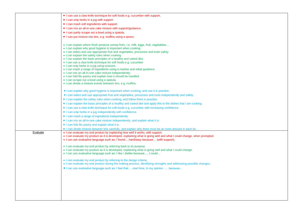|          | • I can use a claw knife technique for soft foods e.g. cucumber with support.                                         |
|----------|-----------------------------------------------------------------------------------------------------------------------|
|          | • I can snip herbs in a jug with support.                                                                             |
|          | • I can mash soft ingredients with support.                                                                           |
|          | • I can mix an all-in-one cake mixture with support/guidance.                                                         |
|          | • I can partly scrape out a bowl using a spatula.                                                                     |
|          | • I can put mixture into tins, e.g. muffins using a spoon.                                                            |
|          |                                                                                                                       |
|          | • I can explain where fresh produce comes from, i.e. milk, eggs, fruit, vegetables                                    |
|          | • I can explain why good hygiene is important when cooking.                                                           |
|          | • I can select and use appropriate fruit and vegetables, processes and tools safely.                                  |
|          | • I can explain the safety rules when cooking.                                                                        |
|          | • I can explain the basic principles of a healthy and varied diet.                                                    |
|          | • I can use a claw knife technique for soft foods e.g. cucumber<br>• I can snip herbs in a jug using scissors.        |
|          | • I can mash a range of ingredients using a masher and initial guidance.                                              |
|          | . I can mix an all-in-one cake mixture independently.                                                                 |
|          | . I can fold filo pastry and explain how it should be handled.                                                        |
|          | • I can scrape out a bowl using a spatula.                                                                            |
|          | • I can divide a mixture evenly between tins, e.g. muffins.                                                           |
|          | • I can explain why good hygiene is important when cooking, and use it in practise.                                   |
|          | • I can select and use appropriate fruit and vegetables, processes and tools independently and safely.                |
|          | • I can explain the safety rules when cooking, and follow them in practise.                                           |
|          | • I can explain the basic principles of a healthy and varied diet and apply this to the dishes that I am cooking.     |
|          | • I can use a claw knife technique for soft foods e.g. cucumber with increasing confidence.                           |
|          | • I can snip herbs in a jug independently with confidence.                                                            |
|          | • I can mash a range of ingredients independently.                                                                    |
|          | • I can mix an all-in-one cake mixture independently, and explain what it is.                                         |
|          | • I can fold filo pastry and explain what it is.                                                                      |
|          | • I can divide mixture between tins carefully, and explain why there must be an even amount in each tin.              |
| Evaluate | • I can evaluate my end product by explaining how well it works, with support.                                        |
|          | • I can evaluate my product as it is developed, explaining what is going well and what I could change, when prompted. |
|          | • I can use evaluative language such as: I foundhard/easy because (with support).                                     |
|          | • I can evaluate my end product by referring back to its purpose.                                                     |
|          | . I can evaluate my product as it is developed, explaining what is going well and what I could change.                |
|          | . I can use evaluative language such as: I like / dislike because, I could                                            |
|          | . I can evaluate my end product by referring to the design criteria.                                                  |
|          | . I can evaluate my end product during the making process, identifying strengths and addressing possible changes.     |
|          | • I can use evaluative language such as: I feel thatnext time, In my opinionbecause                                   |
|          |                                                                                                                       |
|          |                                                                                                                       |
|          |                                                                                                                       |
|          |                                                                                                                       |
|          |                                                                                                                       |
|          |                                                                                                                       |
|          |                                                                                                                       |
|          |                                                                                                                       |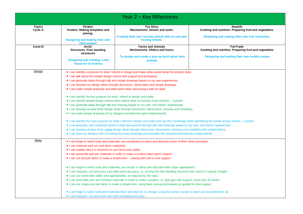|                          |                                                                                                                     | Year 2 – Key Milestones                                                                                                                               |                                                                           |  |  |
|--------------------------|---------------------------------------------------------------------------------------------------------------------|-------------------------------------------------------------------------------------------------------------------------------------------------------|---------------------------------------------------------------------------|--|--|
| <b>Topics</b><br>Cycle A | <b>Pirates</b><br><b>Textiles: Making templates and</b><br>joining.                                                 | <b>Toy Story</b><br>Mechanisms: wheels and axels.                                                                                                     | <b>Seaside</b><br>Cooking and nutrition: Preparing fruit and vegetables.  |  |  |
|                          | Designing and making their own<br>hand puppet                                                                       | Creating their own moving vehicle with an axel and<br>moving wheels.                                                                                  | Designing and making their own fruit smoothies.                           |  |  |
| Cycle B                  | <b>Arctic</b><br><b>Structures: Free standing</b><br>structures                                                     | <b>Farms and Animals</b><br><b>Mechanisms: Sliders and levers</b>                                                                                     | <b>FairTrade</b><br>Cooking and nutrition: Preparing fruit and vegetables |  |  |
|                          | <b>Designing and creating a new</b><br>house for an Eskimo.                                                         | To design and create a pop-up book about farm<br>animals.                                                                                             | Designing and making their own healthy wraps.                             |  |  |
| Design                   |                                                                                                                     | • I can identify a purpose for what I intend to design and make when asked what the product does.                                                     |                                                                           |  |  |
|                          | • I can talk about the simple design criteria with support and prompting.                                           |                                                                                                                                                       |                                                                           |  |  |
|                          |                                                                                                                     | . I can generate ideas through talk and simple drawings based on my own experiences.                                                                  |                                                                           |  |  |
|                          |                                                                                                                     | . I can develop my design ideas through discussion, observation and simple drawings.                                                                  |                                                                           |  |  |
|                          |                                                                                                                     | • I can make simple drawings and label parts when discussing it with an adult.                                                                        |                                                                           |  |  |
|                          | • I can identify the key purpose for what I intend to design and make.                                              |                                                                                                                                                       |                                                                           |  |  |
|                          |                                                                                                                     | $\bullet$ I can identify simple design criteria when asked what my product must do/have $-$ 3 points.                                                 |                                                                           |  |  |
|                          | • I can generate ideas through talk and drawing based on my own, and others' experiences.                           |                                                                                                                                                       |                                                                           |  |  |
|                          | . I can develop at least three design ideas through discussion, observation, drawing and modelling.                 |                                                                                                                                                       |                                                                           |  |  |
|                          |                                                                                                                     | • I can make simple drawings of my designs and label the parts independently.                                                                         |                                                                           |  |  |
|                          |                                                                                                                     | . I can identify the main purpose for what I intend to design and make and use this knowledge when identifying the simple design criteria - 3 points. |                                                                           |  |  |
|                          |                                                                                                                     | . I can generate, and contribute ideas to class discussions through talk and drawings based on my own, and others' experiences.                       |                                                                           |  |  |
|                          |                                                                                                                     | . I can develop at least three varied design ideas through discussion, observation, drawing and modelling with independence.                          |                                                                           |  |  |
|                          |                                                                                                                     | • I can draw my designs with increasing accuracy drawings and annotate the components/materials independently.                                        |                                                                           |  |  |
| Make                     |                                                                                                                     | • I can begin to select tools and materials; use vocabulary to name and describe some of them when prompted.                                          |                                                                           |  |  |
|                          | • I can measure and cut card when supported.                                                                        |                                                                                                                                                       |                                                                           |  |  |
|                          | • I can explain why it is important to use hand tools safely.                                                       |                                                                                                                                                       |                                                                           |  |  |
|                          |                                                                                                                     | • I can assemble and join materials in order to make a product when given support.                                                                    |                                                                           |  |  |
|                          |                                                                                                                     | • I can cut and join fabric to make a simple item – sewing with one-to-one support.                                                                   |                                                                           |  |  |
|                          |                                                                                                                     | • I can begin to select tools and materials; use vocab' to name and describe them (topic appropriate).                                                |                                                                           |  |  |
|                          |                                                                                                                     | • I can measure, cut and score card with some accuracy, i.e. scoring the free standing structure from card so it stands straight.                     |                                                                           |  |  |
|                          | . I can use hand tools safely and appropriately, as required by the topic.                                          |                                                                                                                                                       |                                                                           |  |  |
|                          |                                                                                                                     | • I can assemble, join and combine materials in order to make a product, i.e. glue gun with support, brass pins for levers.                           |                                                                           |  |  |
|                          | • I can cut, shape and join fabric to make a simple item, using basic sewing techniques as guided for their puppet. |                                                                                                                                                       |                                                                           |  |  |
|                          |                                                                                                                     | • I can begin to select tools and materials that I will need for my design; using the correct vocab' to name and describe them all.                   |                                                                           |  |  |
|                          | . I can measure, cut and score card with increasing accuracy.                                                       |                                                                                                                                                       |                                                                           |  |  |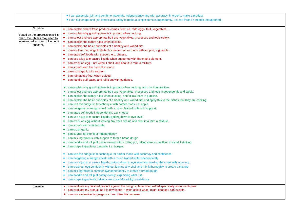|                                                                    | . I can assemble, join and combine materials, independently and with accuracy, in order to make a product.               |
|--------------------------------------------------------------------|--------------------------------------------------------------------------------------------------------------------------|
|                                                                    | I can cut, shape and join fabrics accurately to make a simple items independently, i.e. can thread a needle unsupported. |
|                                                                    |                                                                                                                          |
| Nutrition                                                          | • I can explain where fresh produce comes from, i.e. milk, eggs, fruit, vegetables                                       |
|                                                                    | • I can explain why good hygiene is important when cooking.                                                              |
| (Based on the progression skills<br>chart, though this may need to | • I can select and use appropriate fruit and vegetables, processes and tools safely.                                     |
| be amended for the cooking unit                                    | • I can explain the safety rules when cooking.                                                                           |
| chosen).                                                           | • I can explain the basic principles of a healthy and varied diet.                                                       |
|                                                                    | • I can explore the bridge knife technique for harder foods with support, e.g. apple.                                    |
|                                                                    | • I can grate soft foods with support, e.g. cheese.                                                                      |
|                                                                    | • I can use a jug to measure liquids when supported with the maths element.                                              |
|                                                                    | • I can crack an egg - not without shell, and beat it to form a mixture.                                                 |
|                                                                    | • I can spread with the back of a spoon.                                                                                 |
|                                                                    | • I can crush garlic with support.                                                                                       |
|                                                                    | • I can rub fat into flour when guided.                                                                                  |
|                                                                    | • I can handle puff pastry and roll it out with guidance.                                                                |
|                                                                    |                                                                                                                          |
|                                                                    | • I can explain why good hygiene is important when cooking, and use it in practise.                                      |
|                                                                    | • I can select and use appropriate fruit and vegetables, processes and tools independently and safely.                   |
|                                                                    | • I can explain the safety rules when cooking, and follow them in practise.                                              |
|                                                                    | • I can explain the basic principles of a healthy and varied diet and apply this to the dishes that they are cooking.    |
|                                                                    | • I can use the bridge knife technique with harder foods, i.e. apple.                                                    |
|                                                                    | • I can hedgehog a mango cheek with a round bladed knife with support.                                                   |
|                                                                    | • I can grate soft foods independently, e.g. cheese.                                                                     |
|                                                                    | • I can use a jug to measure liquids, getting down to eye level.                                                         |
|                                                                    | • I can crack an egg without leaving any shell behind and beat it to form a mixture.                                     |
|                                                                    | • I can spread with a table knife.                                                                                       |
|                                                                    | • I can crush garlic.                                                                                                    |
|                                                                    | • I can cut/rub fat into flour independently.                                                                            |
|                                                                    | • I can mix ingredients with support to form a bread dough.                                                              |
|                                                                    | • I can handle and roll puff pastry evenly with a rolling pin, taking care to use flour to avoid it sticking.            |
|                                                                    | • I can shape ingredients carefully, i.e. burgers.                                                                       |
|                                                                    | • I can use the bridge knife technique for harder foods with accuracy and confidence.                                    |
|                                                                    | • I can hedgehog a mango cheek with a round bladed knife independently.                                                  |
|                                                                    | • I can use a jug to measure liquids, getting down to eye level and reading the scale with accuracy.                     |
|                                                                    | . I can crack an egg confidently without leaving any shell and mix it thoroughly to create a mixture.                    |
|                                                                    | • I can mix ingredients confidently/independently to create a bread dough.                                               |
|                                                                    | • I can handle and roll puff pastry evenly, explaining what it is.                                                       |
|                                                                    | • I can shape ingredients, taking care to avoid a sticky consistency.                                                    |
|                                                                    |                                                                                                                          |
| Evaluate                                                           | . I can evaluate my finished product against the design criteria when asked specifically about each point.               |
|                                                                    | • I can evaluate my product as it is developed – when asked what I might change I can explain.                           |
|                                                                    | • I can use evaluative language such as: I like this because                                                             |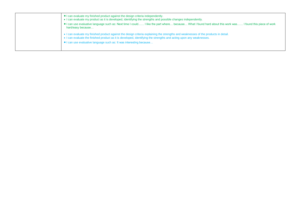| • I can evaluate my finished product against the design criteria independently.<br>• I can evaluate my product as it is developed, identifying the strengths and possible changes independently.<br>I can use evaluative language such as: Next time I could I like the part where because What I found hard about this work was I found this piece of work<br>hard/easy because |
|----------------------------------------------------------------------------------------------------------------------------------------------------------------------------------------------------------------------------------------------------------------------------------------------------------------------------------------------------------------------------------|
| • I can evaluate my finished product against the design criteria explaining the strengths and weaknesses of the products in detail.<br>• I can evaluate the finished product as it is developed, identifying the strengths and acting upon any weaknesses.<br>• I can use evaluative language such as: It was interesting because                                                |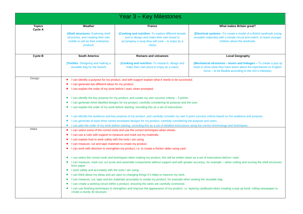| Year 3 - Key Milestones  |                                                                                                                                                                                                                                                                                                                                                                                                                                                                                                                                                                                                                                                                                                                                                                                                                                                                                                                                                                                                                                                                                                                                                                                                                                                                                                                                                                                                                                                                                                                                                                                                                    |                                                                                                                                                               |                                                                                                                                                                                                      |  |  |
|--------------------------|--------------------------------------------------------------------------------------------------------------------------------------------------------------------------------------------------------------------------------------------------------------------------------------------------------------------------------------------------------------------------------------------------------------------------------------------------------------------------------------------------------------------------------------------------------------------------------------------------------------------------------------------------------------------------------------------------------------------------------------------------------------------------------------------------------------------------------------------------------------------------------------------------------------------------------------------------------------------------------------------------------------------------------------------------------------------------------------------------------------------------------------------------------------------------------------------------------------------------------------------------------------------------------------------------------------------------------------------------------------------------------------------------------------------------------------------------------------------------------------------------------------------------------------------------------------------------------------------------------------------|---------------------------------------------------------------------------------------------------------------------------------------------------------------|------------------------------------------------------------------------------------------------------------------------------------------------------------------------------------------------------|--|--|
| <b>Topics</b><br>Cycle A | Weather                                                                                                                                                                                                                                                                                                                                                                                                                                                                                                                                                                                                                                                                                                                                                                                                                                                                                                                                                                                                                                                                                                                                                                                                                                                                                                                                                                                                                                                                                                                                                                                                            | <b>France</b>                                                                                                                                                 | What makes Britain great?                                                                                                                                                                            |  |  |
|                          | (Shell structures: Exploring shell<br>structures, and creating their own<br>mobile to sell as their enterprise<br>product)                                                                                                                                                                                                                                                                                                                                                                                                                                                                                                                                                                                                                                                                                                                                                                                                                                                                                                                                                                                                                                                                                                                                                                                                                                                                                                                                                                                                                                                                                         | (Cooking and nutrition: To explore different breads<br>and to design and make their own bread to<br>accompany a soup they will cook - to enjoy as a<br>class) | <b>(Electrical systems -To create a model of a British landmark (using)</b><br>reusable materials) with a simple circuit and switch, to teach younger<br>children about the landmark.                |  |  |
| Cycle B                  | <b>South America</b>                                                                                                                                                                                                                                                                                                                                                                                                                                                                                                                                                                                                                                                                                                                                                                                                                                                                                                                                                                                                                                                                                                                                                                                                                                                                                                                                                                                                                                                                                                                                                                                               | <b>Romans and volcanoes</b>                                                                                                                                   | <b>Local Geography</b>                                                                                                                                                                               |  |  |
|                          | <b>(Textiles: Designing and making a)</b><br>reusable bag for the beach)                                                                                                                                                                                                                                                                                                                                                                                                                                                                                                                                                                                                                                                                                                                                                                                                                                                                                                                                                                                                                                                                                                                                                                                                                                                                                                                                                                                                                                                                                                                                           | (Cooking and nutrition: To research, design and<br>make their own pizza to enjoy as a class)                                                                  | (Mechanical structures – levers and linkages – To create a pop up<br>book to show what they have learnt about the topic/based on English<br>focus - to be flexible according to the chn's interests) |  |  |
| Design                   | I can identify a purpose for my product, and with support explain what it needs to be successful.<br>$\bullet$<br>I can generate two different ideas for my product.<br>I can explain the order of my work before I start, when prompted.<br>I can identify the key purpose for my product, and create my own success criteria – 5 points.<br>$\bullet$<br>I can generate three labelled designs for my product, carefully considering its purpose and the user.<br>I can explain the order of my work before starting, recording this as a set of instructions.<br>$\bullet$<br>I can identify the audience and key purpose of my product, and carefully consider my own 5 point success criteria based on the audience and purpose.<br>$\bullet$<br>I can generate at least three varied annotated designs for my product, carefully considering the purpose and users.<br>$\bullet$                                                                                                                                                                                                                                                                                                                                                                                                                                                                                                                                                                                                                                                                                                                             |                                                                                                                                                               |                                                                                                                                                                                                      |  |  |
| Make                     | I can plan the order of my work before starting, recording this as a set of detailed instructions using the correct terminology and techniques.<br>$\bullet$<br>I can select some of the correct tools and use the correct techniques when shown.<br>$\bullet$<br>I can use a ruler with support to measure and mark out my materials.<br>$\bullet$<br>I can explain how to work safely with the tools I am using.<br>$\bullet$<br>I can measure, cut and tape materials to create my product.<br>I can work with direction to strengthen my product, i.e. to create a thicker slider using card.<br>I can select the correct tools and techniques when making my product, this will be written down as a set of instructions before I start.<br>$\bullet$<br>I can measure, mark out, cut score and assemble components without support and with greater accuracy, for example – when cutting and scoring the shell structures<br>$\bullet$<br>from paper.<br>I work safely and accurately with the tools I am using.<br>$\bullet$<br>I can think about my ideas and am open to changing things if it helps to improve my work.<br>$\bullet$<br>I can measure, cut, tape and pin materials accurately to create my product, for example when sewing the reusable bag.<br>$\bullet$<br>I can create a working circuit within a product, ensuring the wires are carefully connected.<br>$\bullet$<br>I can use finishing techniques to strengthen and improve the appearance of my product, i.e. layering cardboard when creating a pop up book, rolling newspaper to<br>$\bullet$<br>create a sturdy 3d structure. |                                                                                                                                                               |                                                                                                                                                                                                      |  |  |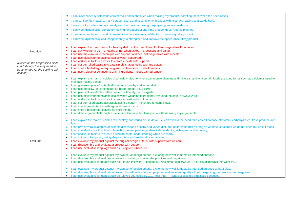|                                                                    | I can independently select the correct tools and techniques when making my product, adapting these when the need arises.                                                                                                                                                         |
|--------------------------------------------------------------------|----------------------------------------------------------------------------------------------------------------------------------------------------------------------------------------------------------------------------------------------------------------------------------|
|                                                                    | I can confidently measure, mark out, cut, score and assemble my product with accuracy leading to a sturdy build.                                                                                                                                                                 |
|                                                                    | I work quickly, safely and accurately with the tools I am using, displaying greater confidence.                                                                                                                                                                                  |
|                                                                    | I can work dynamically, constantly looking for better options if my product doesn't go as planned.                                                                                                                                                                               |
|                                                                    | I can measure, tape, cut and pin materials accurately and confidently to create a quality product.                                                                                                                                                                               |
|                                                                    |                                                                                                                                                                                                                                                                                  |
|                                                                    | I can work dynamically and independently to strengthen and improve the appearance of my product.                                                                                                                                                                                 |
|                                                                    | I can explain the main ideas of a healthy diet, i.e. the need to eat fruit and vegetables for nutrition.                                                                                                                                                                         |
|                                                                    | I can say whether a dish is healthy or not when asked, i.e. desserts and salad.                                                                                                                                                                                                  |
| Nutrition                                                          | I can use the claw knife technique with support, and peel soft vegetables with a peeler.                                                                                                                                                                                         |
|                                                                    | I can use digital/spring balance scales when supported.                                                                                                                                                                                                                          |
|                                                                    | I can add liquid to flour and stir to create a paste with support.                                                                                                                                                                                                               |
| (Based on the progression skills<br>chart, though this may need to | I can cut our rolled pastry to create simple shapes using a shape cutter.<br>٠                                                                                                                                                                                                   |
| be amended for the cooking unit                                    | • I can shell a boiled egg - requiring support to ensure no shell remains.                                                                                                                                                                                                       |
| chosen).                                                           | I can use a sieve or colander to drain ingredients - loses a small amount.<br>$\bullet$                                                                                                                                                                                          |
|                                                                    | I can explain the main principles of a healthy diet, i.e. where we acquire vitamins and minerals, and why certain foods are good for us such as calcium is used to<br>$\bullet$<br>maintain healthy bones.                                                                       |
|                                                                    | I can give examples of suitable dishes for a healthy and varied diet.<br>$\bullet$                                                                                                                                                                                               |
|                                                                    | I can use the claw knife technique for harder foods, i.e. a carrot.                                                                                                                                                                                                              |
|                                                                    | I can peel soft vegetables with a peeler confidently, i.e. courgette.                                                                                                                                                                                                            |
|                                                                    | I can use digital/spring balance scales when weighing ingredients, ensuring the start is always zero.                                                                                                                                                                            |
|                                                                    | I can add liquid to flour and stir to create a paste without lumps.<br>$\bullet$                                                                                                                                                                                                 |
|                                                                    | I can cut our rolled pastry accurately using a cutter - the shape remains intact.                                                                                                                                                                                                |
|                                                                    | I can coat ingredients, i.e. with egg and breadcrumbs.                                                                                                                                                                                                                           |
|                                                                    | I can shell a boiled egg, leaving no shell behind.                                                                                                                                                                                                                               |
|                                                                    | I can drain ingredients through a sieve or colander without support - without losing any ingredients. .                                                                                                                                                                          |
|                                                                    | I can explain the main principles of a healthy and varied diet in detail, i.e. can explain the need for a careful balance of protein, carbohydrates, fresh produce and<br>$\bullet$<br>fats                                                                                      |
|                                                                    | I can give several examples of suitable dishes for a healthy and varied diet, and understand that as long as we have a balance we do not need to rule out foods.                                                                                                                 |
|                                                                    | I can confidently use the claw knife technique and peel vegetables independently, with speed and accuracy.                                                                                                                                                                       |
|                                                                    | I can add liquid to flour to create a smooth paste, understanding when it is ready.                                                                                                                                                                                              |
|                                                                    | I can cut out rolled pastry using shape cutters and freehand using a knife.<br>$\bullet$                                                                                                                                                                                         |
| Evaluate                                                           | I can evaluate my product against the original design criteria with support from an adult.<br>$\bullet$                                                                                                                                                                          |
|                                                                    | I can disassemble and evaluate a product with support.                                                                                                                                                                                                                           |
|                                                                    | I can use evaluative language such as: I enjoyed it because                                                                                                                                                                                                                      |
|                                                                    | I can evaluate my product against my own set of design criteria, exploring how well it meets its intended purpose.<br>۰                                                                                                                                                          |
|                                                                    | I can disassemble and evaluate a product in writing, exploring the positives and negatives.                                                                                                                                                                                      |
|                                                                    | I can use evaluative language such as: I found this work because Next time I could/would You could improve this work by                                                                                                                                                          |
|                                                                    |                                                                                                                                                                                                                                                                                  |
|                                                                    | I can evaluate my product against my own set of design criteria, exploring how well it meets its intended purpose without bias.<br>I can disassemble and evaluate a product based on its intended purpose, audience and quality of build, exploring the positives and negatives. |
|                                                                    | I can use evaluative language such as: Maybe you could try I feel thatwas successful / ambitious because.<br>$\bullet$                                                                                                                                                           |
|                                                                    |                                                                                                                                                                                                                                                                                  |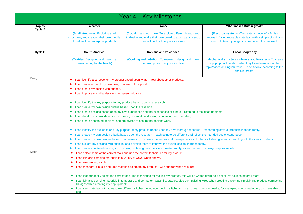| <b>Topics</b> | Weather                                                                                                                                                                                                                   | <b>France</b>                                                                                                                                              | What makes Britain great?                                                                                             |  |  |
|---------------|---------------------------------------------------------------------------------------------------------------------------------------------------------------------------------------------------------------------------|------------------------------------------------------------------------------------------------------------------------------------------------------------|-----------------------------------------------------------------------------------------------------------------------|--|--|
| Cycle A       |                                                                                                                                                                                                                           |                                                                                                                                                            |                                                                                                                       |  |  |
|               | (Shell structures: Exploring shell<br>structures, and creating their own mobile                                                                                                                                           | <b>(Cooking and nutrition:</b> To explore different breads and<br>to design and make their own bread to accompany a soup                                   | (Electrical systems - To create a model of a British<br>landmark (using reusable materials) with a simple circuit and |  |  |
|               | to sell as their enterprise product)                                                                                                                                                                                      | they will cook $-$ to enjoy as a class)                                                                                                                    | switch, to teach younger children about the landmark.                                                                 |  |  |
|               |                                                                                                                                                                                                                           |                                                                                                                                                            |                                                                                                                       |  |  |
| Cycle B       | <b>South America</b>                                                                                                                                                                                                      | <b>Romans and volcanoes</b>                                                                                                                                | <b>Local Geography</b>                                                                                                |  |  |
|               | <b>(Textiles: Designing and making a)</b>                                                                                                                                                                                 | (Cooking and nutrition: To research, design and make                                                                                                       | (Mechanical structures – levers and linkages – To create                                                              |  |  |
|               | reusable bag for the beach)                                                                                                                                                                                               | their own pizza to enjoy as a class)                                                                                                                       | a pop up book to show what they have learnt about the                                                                 |  |  |
|               |                                                                                                                                                                                                                           |                                                                                                                                                            | topic/based on English focus - to be flexible according to the                                                        |  |  |
|               |                                                                                                                                                                                                                           |                                                                                                                                                            | chn's interests)                                                                                                      |  |  |
| Design        |                                                                                                                                                                                                                           | I can identify a purpose for my product based upon what I know about other products.                                                                       |                                                                                                                       |  |  |
|               | I can create some of my own design criteria with support.                                                                                                                                                                 |                                                                                                                                                            |                                                                                                                       |  |  |
|               | I can create my design with support.                                                                                                                                                                                      |                                                                                                                                                            |                                                                                                                       |  |  |
|               | I can improve my initial design when given guidance.                                                                                                                                                                      |                                                                                                                                                            |                                                                                                                       |  |  |
|               |                                                                                                                                                                                                                           |                                                                                                                                                            |                                                                                                                       |  |  |
|               | I can identify the key purpose for my product, based upon my research.                                                                                                                                                    |                                                                                                                                                            |                                                                                                                       |  |  |
|               | I can create my own design criteria based upon the research.                                                                                                                                                              |                                                                                                                                                            |                                                                                                                       |  |  |
|               | I can create designs based upon my own experience and the experiences of others – listening to the ideas of others.                                                                                                       |                                                                                                                                                            |                                                                                                                       |  |  |
|               |                                                                                                                                                                                                                           |                                                                                                                                                            |                                                                                                                       |  |  |
|               | I can create annotated designs, and prototypes to ensure the designs work.<br>$\bullet$                                                                                                                                   |                                                                                                                                                            |                                                                                                                       |  |  |
|               | I can identify the audience and key purpose of my product, based upon my own thorough research - researching several products independently.<br>$\bullet$                                                                 |                                                                                                                                                            |                                                                                                                       |  |  |
|               |                                                                                                                                                                                                                           | I can create my own design criteria based upon the research - each point to be different and reflect the intended audience/purpose.                        |                                                                                                                       |  |  |
|               | $\bullet$                                                                                                                                                                                                                 | I can create my own designs based upon research, my own experiences and the experiences of others - listening to and interacting with the ideas of others. |                                                                                                                       |  |  |
|               | $\bullet$                                                                                                                                                                                                                 | I can explore my designs with out bias, and develop them to improve the overall design, independently.                                                     |                                                                                                                       |  |  |
|               | $\bullet$                                                                                                                                                                                                                 | I can create annotated drawings of my designs, taking the initiative to create prototypes and amend my designs appropriately.                              |                                                                                                                       |  |  |
| Make          | ٠                                                                                                                                                                                                                         | I can select some of the correct tools and use the correct techniques for my product.                                                                      |                                                                                                                       |  |  |
|               | I can join and combine materials in a variety of ways, when shown.                                                                                                                                                        |                                                                                                                                                            |                                                                                                                       |  |  |
|               | I can use running stitch.                                                                                                                                                                                                 |                                                                                                                                                            |                                                                                                                       |  |  |
|               |                                                                                                                                                                                                                           |                                                                                                                                                            |                                                                                                                       |  |  |
|               | I can measure, pin, cut and tape materials to create my product - with support when required.                                                                                                                             |                                                                                                                                                            |                                                                                                                       |  |  |
|               |                                                                                                                                                                                                                           | I can independently select the correct tools and techniques for making my product, this will be written down as a set of instructions before I start.      |                                                                                                                       |  |  |
|               | I can join and combine materials in temporary and permanent ways, i.e. staples, glue gun, twisting wires when creating a working circuit in my product, connecting<br>$\bullet$<br>linkages when creating my pop up book. |                                                                                                                                                            |                                                                                                                       |  |  |
|               | I can sew materials with at least two different stitches (to include running stitch), and I can thread my own needle, for example; when creating my own reusable<br>$\bullet$                                             |                                                                                                                                                            |                                                                                                                       |  |  |
|               | bag.                                                                                                                                                                                                                      |                                                                                                                                                            |                                                                                                                       |  |  |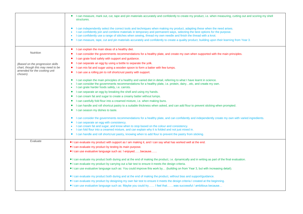|                                          | I can measure, mark out, cut, tape and pin materials accurately and confidently to create my product, i.e. when measuring, cutting out and scoring my shell<br>structures.                                                                                                                                                                                              |  |  |
|------------------------------------------|-------------------------------------------------------------------------------------------------------------------------------------------------------------------------------------------------------------------------------------------------------------------------------------------------------------------------------------------------------------------------|--|--|
|                                          | I can independently select the correct tools and techniques when making my product, adapting these when the need arises.<br>I can confidently join and combine materials in temporary and permanent ways, selecting the best options for the purpose.<br>I can confidently use a range of stitches when sewing, thread my own needle and finish the thread with a knot. |  |  |
|                                          | I can measure, tape, cut and pin materials accurately and confidently to create a quality product, building upon their learning from Year 3.<br>$\bullet$                                                                                                                                                                                                               |  |  |
|                                          | I can explain the main ideas of a healthy diet.                                                                                                                                                                                                                                                                                                                         |  |  |
| <b>Nutrition</b>                         | I can consider the governments recommendations for a healthy plate, and create my own when supported with the main principles.                                                                                                                                                                                                                                          |  |  |
|                                          | I can grate food safely with support and guidance.                                                                                                                                                                                                                                                                                                                      |  |  |
| (Based on the progression skills         | I can separate an egg by using a bottle to separate the yolk.                                                                                                                                                                                                                                                                                                           |  |  |
| chart, though this may need to be        | I can mix fat and sugar using a wooden spoon to form a batter with few lumps.                                                                                                                                                                                                                                                                                           |  |  |
| amended for the cooking unit<br>chosen). | I can use a rolling pin to roll shortcrust pastry with support.                                                                                                                                                                                                                                                                                                         |  |  |
|                                          | I can explain the main principles of a healthy and varied diet in detail, referring to what I have learnt in science.                                                                                                                                                                                                                                                   |  |  |
|                                          | I can consider the governments recommendations for a healthy plate, i.e. protein, dairyetc, and create my own.<br>I can grate harder foods safely, i.e. carrots.                                                                                                                                                                                                        |  |  |
|                                          | I can separate an egg by breaking the shell and using my hands.<br>$\bullet$                                                                                                                                                                                                                                                                                            |  |  |
|                                          | I can cream fat and sugar to create a creamy batter without lumps.<br>٠                                                                                                                                                                                                                                                                                                 |  |  |
|                                          | I can carefully fold flour into a creamed mixture, i.e. when making buns.                                                                                                                                                                                                                                                                                               |  |  |
|                                          | I can handle and roll shortcut pastry to a suitable thickness when asked, and can add flour to prevent sticking when prompted.                                                                                                                                                                                                                                          |  |  |
|                                          | I can season my dishes to taste.<br>٠                                                                                                                                                                                                                                                                                                                                   |  |  |
|                                          |                                                                                                                                                                                                                                                                                                                                                                         |  |  |
|                                          | I can consider the governments recommendations for a healthy plate, and can confidently and independently create my own with varied ingredients.                                                                                                                                                                                                                        |  |  |
|                                          | I can separate an egg with consistency.                                                                                                                                                                                                                                                                                                                                 |  |  |
|                                          | I can cream fat and sugar, and know when to stop based on the colour and consistency.<br>I can fold flour into a creamed mixture, and can explain why it is folded and not just mixed in.                                                                                                                                                                               |  |  |
|                                          | I can handle and roll shortcrust pastry, knowing when to add flour to prevent the pastry from sticking.<br>$\bullet$                                                                                                                                                                                                                                                    |  |  |
|                                          |                                                                                                                                                                                                                                                                                                                                                                         |  |  |
| Evaluate                                 | • I can evaluate my product with support as I am making it, and I can say what has worked well at the end.                                                                                                                                                                                                                                                              |  |  |
|                                          | • I can evaluate my product by testing its main purpose.                                                                                                                                                                                                                                                                                                                |  |  |
|                                          | • I can use evaluative language such as: I enjoyedbecause                                                                                                                                                                                                                                                                                                               |  |  |
|                                          | • I can evaluate my product both during and at the end of making the product, i.e. dynamically and in writing as part of the final evaluation.                                                                                                                                                                                                                          |  |  |
|                                          | I can evaluate my product by carrying out a fair test to ensure it meets the design criteria.                                                                                                                                                                                                                                                                           |  |  |
|                                          | . I can use evaluative language such as: You could improve this work by (building on from Year 3, but with increasing detail).                                                                                                                                                                                                                                          |  |  |
|                                          | I can evaluate my product both during and at the end of making the product, without bias and support/guidance.                                                                                                                                                                                                                                                          |  |  |
|                                          | • I can evaluate my product by designing my own fair test to ensure it meets the design criteria I created at the beginning.                                                                                                                                                                                                                                            |  |  |
|                                          | I feel that  Yaranguage such as: Maybe you could try I feel that  was successful / ambitious because                                                                                                                                                                                                                                                                    |  |  |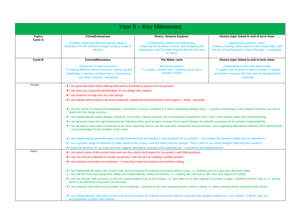| <b>Year 5 - Key Milestones</b> |                                                                                                                                                                                                                                                                                                        |                                                                                                                                                                         |                                                                                                                                                             |  |  |  |
|--------------------------------|--------------------------------------------------------------------------------------------------------------------------------------------------------------------------------------------------------------------------------------------------------------------------------------------------------|-------------------------------------------------------------------------------------------------------------------------------------------------------------------------|-------------------------------------------------------------------------------------------------------------------------------------------------------------|--|--|--|
| <b>Topics</b><br>Cycle A       | <b>China/Enterprises</b>                                                                                                                                                                                                                                                                               | <b>Rivers, Amazon Explorer</b>                                                                                                                                          | History topic linked to end of term show                                                                                                                    |  |  |  |
|                                | (Textiles: Exploring different stitches: Make a<br>decoration for the enterprise project using a range of<br>stitches)                                                                                                                                                                                 | (Celebrating Culture and Seasonality<br>Exploring the Brazilian cuisine, and designing and<br>making their own Brazilian inspired dish for the class<br>to enjoy)       | (Mechanical systems: Cams)<br>Create a moving scene based on the history topic, with<br>the aim of teaching others about the topic – woodwork)              |  |  |  |
| Cycle B                        | <b>Everest/Mountains</b>                                                                                                                                                                                                                                                                               | The Water cycle                                                                                                                                                         | History topic linked to end of term show                                                                                                                    |  |  |  |
|                                | (Structures: Frame structures<br>To explore different frame structures, and to use this<br>knowledge to design a creative tent or someone to<br>use when camping - woodwork)                                                                                                                           | (Electrical systems)<br>To create a model, with a working circuit and a<br>complex switch)                                                                              | (Celebrating Culture and Seasonality<br>To explore the concept of batch cooking. To design<br>and make a savoury dish that can be reheated when<br>camping) |  |  |  |
| Design                         | • I can generate ideas whilst talking with adult and identify a purpose for my product.                                                                                                                                                                                                                |                                                                                                                                                                         |                                                                                                                                                             |  |  |  |
|                                | • I can draw up a personal specification for my design with support.                                                                                                                                                                                                                                   |                                                                                                                                                                         |                                                                                                                                                             |  |  |  |
|                                | • I use research to help form my own design.                                                                                                                                                                                                                                                           |                                                                                                                                                                         |                                                                                                                                                             |  |  |  |
|                                |                                                                                                                                                                                                                                                                                                        | • I can explain what needs to be done (materials, equipment and processes) with support – firstlysecondly                                                               |                                                                                                                                                             |  |  |  |
|                                | feeds into the design process.                                                                                                                                                                                                                                                                         | • I use the results of research/investigation, information sources, including ICT when developing design ideas – a greater knowledge of the research process and how it |                                                                                                                                                             |  |  |  |
|                                |                                                                                                                                                                                                                                                                                                        | • I can independently create design criteria for my product, taking research into consideration (building on from Year 4 with greater detail and understanding).        |                                                                                                                                                             |  |  |  |
|                                |                                                                                                                                                                                                                                                                                                        | • I can generate ideas through brainstorming, following them up to produce at least three varied designs (to identify a purpose for my product independently).          |                                                                                                                                                             |  |  |  |
|                                | I can develop a clear idea of what has to be done, planning how to use the materials, equipment and processes, and suggesting alternative methods if first attempts fail<br>- clear knowledge for the timeline of the make.                                                                            |                                                                                                                                                                         |                                                                                                                                                             |  |  |  |
|                                | • I can independently generate ideas through brainstorming and identify a clear purpose for my product – can explain the process clearly and its importance.                                                                                                                                           |                                                                                                                                                                         |                                                                                                                                                             |  |  |  |
|                                |                                                                                                                                                                                                                                                                                                        | I use a greater range of research to make sense of the project, and this feeds into my designs. This is clear in my varied designs reflecting the research.             |                                                                                                                                                             |  |  |  |
|                                |                                                                                                                                                                                                                                                                                                        | I know the timeline for my make and can suggest alternative methods if first attempts fail - confidence and independence.                                               |                                                                                                                                                             |  |  |  |
| Make                           | • I can select some of the correct tools and use the correct techniques for my product, with little guidance.                                                                                                                                                                                          |                                                                                                                                                                         |                                                                                                                                                             |  |  |  |
|                                | • I can cut and join materials to create my product, with the aim of creating a quality product.                                                                                                                                                                                                       |                                                                                                                                                                         |                                                                                                                                                             |  |  |  |
|                                | I can measure and mark out materials - I know that I need to measure twice before cutting.                                                                                                                                                                                                             |                                                                                                                                                                         |                                                                                                                                                             |  |  |  |
|                                | • I can independently select the correct tools and techniques for making my product without input, i.e. whether pins or a glue gun will work better.<br>• I can use the tools and equipment safely and independently, without reminders, i.e. creating the cam frame with care and respect for safety. |                                                                                                                                                                         |                                                                                                                                                             |  |  |  |
|                                | • I can cut and join with accuracy to ensure a good quality finish to the product, i.e. very little errors with regards to overlap or gaps – building on from Year 4, i.e. joining<br>wires to an electrical component successfully.                                                                   |                                                                                                                                                                         |                                                                                                                                                             |  |  |  |
|                                | • I can measure and mark out accurately and confidently – starting at zero and measuring twice before cutting, i.e. when creating frame structures from dowel.                                                                                                                                         |                                                                                                                                                                         |                                                                                                                                                             |  |  |  |
|                                | technique/tool is better than another.                                                                                                                                                                                                                                                                 | • I can independently select the correct tools and techniques for making my product without input and with greater confidence. I can explain, in detail, why one        |                                                                                                                                                             |  |  |  |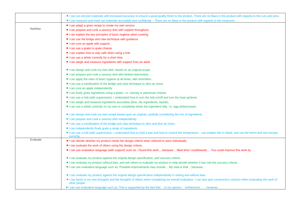|           | . I can cut and join materials with increased accuracy to ensure a good quality finish to the product. There are no flaws in the product with regards to the cuts and joins.          |  |  |
|-----------|---------------------------------------------------------------------------------------------------------------------------------------------------------------------------------------|--|--|
|           | I can measure and mark out materials accurately and confidently - There are no flaws in the product with regards to the measures.                                                     |  |  |
|           | • I can adapt a given recipe to create my own version.                                                                                                                                |  |  |
| Nutrition | • I can prepare and cook a savoury dish with support throughout.                                                                                                                      |  |  |
|           | I can explain the key principles of basic hygiene when cooking.                                                                                                                       |  |  |
|           | • I can use the bridge and claw technique with guidance.                                                                                                                              |  |  |
|           | • I can core an apple with support.                                                                                                                                                   |  |  |
|           | · I can use a grater to grate cheese.                                                                                                                                                 |  |  |
|           | • I can explain how to stay safe when using a hob.                                                                                                                                    |  |  |
|           | • I can use a whisk correctly for a short time.                                                                                                                                       |  |  |
|           | . I can weigh and measure ingredients with support from an adult.                                                                                                                     |  |  |
|           | I can design and cook my own dish, based on an original recipe.                                                                                                                       |  |  |
|           | • I can prepare and cook a savoury dish with limited intervention.                                                                                                                    |  |  |
|           | • I can apply the rules of basic hygiene at all times, with reminders.                                                                                                                |  |  |
|           | • I can use a combination of the bridge and claw technique to slice an onion.                                                                                                         |  |  |
|           | • I can core an apple independently.                                                                                                                                                  |  |  |
|           | • I can finely grate ingredients using a grater, i.e. nutmeg or parmesan cheese.                                                                                                      |  |  |
|           | I can use a hob (with supervision), I understand how to turn the hob on/off and turn the heat up/down.                                                                                |  |  |
|           | • I can weigh and measure ingredients accurately (time, dry ingredients, liquids).                                                                                                    |  |  |
|           | I can use a whisk correctly on my own to completely whisk the ingredient fully, i.e. egg whites/cream.                                                                                |  |  |
|           | • I can design and cook my own recipe based upon an original, carefully considering the mix of ingredients.                                                                           |  |  |
|           | • I can prepare and cook a savoury dish independently.                                                                                                                                |  |  |
|           | • I can use a combination of the bridge and claw technique to slice and dice an onion.                                                                                                |  |  |
|           | • I can independently finely grate a range of ingredients.                                                                                                                            |  |  |
|           | I can use a hob (with supervision), I understand how to hold a pan and how to control the temperature - can explain this in detail, and use the terms boil and simmer<br>correctly.   |  |  |
| Evaluate  | • I can decide whether my product meets the design criteria when referred to each individually.                                                                                       |  |  |
|           | • I can evaluate the work of others using the design criteria.                                                                                                                        |  |  |
|           | I can use evaluative language (with support) such as: I found this workbecause Next time I could/would You could improve this work by                                                 |  |  |
|           | . I can evaluate my product against the original design specification, and success criteria.                                                                                          |  |  |
|           | I can evaluate my product without bias, and ask others to evaluate my product to help decide whether it has met the success criteria.                                                 |  |  |
|           | • I can use evaluative language such as: Possible improvements may include My view is thatbecause                                                                                     |  |  |
|           | I can evaluate my product against the original design specification independently in writing and without bias.                                                                        |  |  |
|           | I can factor in my own thoughts and the thoughts of others when completing my overall evaluation. I can also give constructive criticism when evaluating the work of<br>other people. |  |  |
|           | . I can use evaluative language such as: This is supported by the fact that In my opinion furthermore However                                                                         |  |  |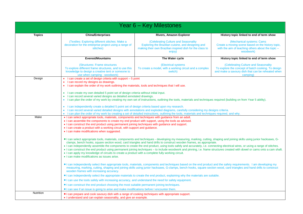| Year 6 – Key Milestones |                                                                                                                                                                                                                                                                                                                                                                                                                                                                                                                                                                                                                                                                                                                                                                                                                   |                                                                                                                                                                                                                                                                                     |                                                                                                                                                             |  |
|-------------------------|-------------------------------------------------------------------------------------------------------------------------------------------------------------------------------------------------------------------------------------------------------------------------------------------------------------------------------------------------------------------------------------------------------------------------------------------------------------------------------------------------------------------------------------------------------------------------------------------------------------------------------------------------------------------------------------------------------------------------------------------------------------------------------------------------------------------|-------------------------------------------------------------------------------------------------------------------------------------------------------------------------------------------------------------------------------------------------------------------------------------|-------------------------------------------------------------------------------------------------------------------------------------------------------------|--|
| <b>Topics</b>           | <b>China/Enterprises</b>                                                                                                                                                                                                                                                                                                                                                                                                                                                                                                                                                                                                                                                                                                                                                                                          | Rivers, Amazon Explorer                                                                                                                                                                                                                                                             | History topic linked to end of term show                                                                                                                    |  |
|                         | (Textiles: Exploring different stitches: Make a<br>decoration for the enterprise project using a range of<br>stitches)                                                                                                                                                                                                                                                                                                                                                                                                                                                                                                                                                                                                                                                                                            | (Celebrating Culture and Seasonality<br>Exploring the Brazilian cuisine, and designing and<br>making their own Brazilian inspired dish for the class to<br>enjoy)                                                                                                                   | (Mechanical systems: Cams<br>Create a moving scene based on the history topic,<br>with the aim of teaching others about the topic -<br>woodwork)            |  |
|                         | <b>Everest/Mountains</b>                                                                                                                                                                                                                                                                                                                                                                                                                                                                                                                                                                                                                                                                                                                                                                                          | The Water cycle                                                                                                                                                                                                                                                                     | History topic linked to end of term show                                                                                                                    |  |
|                         | (Structures: Frame structures<br>To explore different frame structures, and to use this<br>knowledge to design a creative tent or someone to<br>use when camping - woodwork)                                                                                                                                                                                                                                                                                                                                                                                                                                                                                                                                                                                                                                      | <b>(Electrical systems</b><br>To create a model, with a working circuit and a complex<br>switch)                                                                                                                                                                                    | (Celebrating Culture and Seasonality<br>To explore the concept of batch cooking. To design<br>and make a savoury dish that can be reheated when<br>camping) |  |
| Design                  | I can create a set of design criteria with support - 5 point<br>$\bullet$<br>$\bullet$<br>I can record my designs as drawings.<br>• I can explain the order of my work outlining the materials, tools and techniques that I will use.                                                                                                                                                                                                                                                                                                                                                                                                                                                                                                                                                                             |                                                                                                                                                                                                                                                                                     |                                                                                                                                                             |  |
|                         | I can create my own detailed 5 point set of design criteria without initial input.<br>$\bullet$<br>$\bullet$<br>I can record several varied designs as detailed annotated drawings.<br>• I can plan the order of my work by creating my own set of instructions, outlining the tools, materials and techniques required (building on from Year 5 ability).                                                                                                                                                                                                                                                                                                                                                                                                                                                        |                                                                                                                                                                                                                                                                                     |                                                                                                                                                             |  |
|                         | I can independently create a detailed 5 point set of design criteria based upon my research.<br>$\bullet$                                                                                                                                                                                                                                                                                                                                                                                                                                                                                                                                                                                                                                                                                                         | • I can record several varied detailed designs with annotations and exploded diagrams, carefully considering my designs criteria.<br>• I can plan the order of my work by creating a set of detailed instructions, outlining the tools, materials and techniques required, and why. |                                                                                                                                                             |  |
| Make                    | • I can select appropriate tools, materials, components and techniques with guidance from an adult.<br>• I can assemble the components to create my end product with support, using the tools as advised.<br>• I can construct the end product using permanent joining techniques with guidance and support.<br>• I can create a product with a working circuit, with support and guidance.<br>• I can make modifications when suggested.                                                                                                                                                                                                                                                                                                                                                                         |                                                                                                                                                                                                                                                                                     |                                                                                                                                                             |  |
|                         | · I can select appropriate tools, materials, components and techniques - developing my measuring, marking, cutting, shaping and joining skills using junior hacksaws, G-<br>clamps, bench hooks, square section wood, card triangles and hand drills to construct wooden frames, as appropriate.<br>. I can independently assemble the components to create the end product, using tools safely and accurately, i.e. connecting electrical wires, or using a range of stitches.<br>• I can construct the end product using permanent joining techniques – to include woodwork and pinning, i.e. frame structures created with dowel or cams onto a cam shaft.<br>• I can apply my knowledge of circuits to create a product with a complete fully working circuit.<br>• I can make modifications as issues arise. |                                                                                                                                                                                                                                                                                     |                                                                                                                                                             |  |
|                         | I can independently select then appropriate tools, materials, components and techniques based on the end product and the safety requirements. I am developing my<br>measuring, marking, cutting, shaping and joining skills using junior hacksaws, G-clamps, bench hooks, square section wood, card triangles and hand drills to construct<br>wooden frames with increasing accuracy.                                                                                                                                                                                                                                                                                                                                                                                                                             |                                                                                                                                                                                                                                                                                     |                                                                                                                                                             |  |
|                         | • I can independently select the appropriate materials to create the end product, explaining why the materials are suitable.                                                                                                                                                                                                                                                                                                                                                                                                                                                                                                                                                                                                                                                                                      |                                                                                                                                                                                                                                                                                     |                                                                                                                                                             |  |
|                         | • I can use the tools safely with increasing accuracy, and understand the need for safety equipment.                                                                                                                                                                                                                                                                                                                                                                                                                                                                                                                                                                                                                                                                                                              |                                                                                                                                                                                                                                                                                     |                                                                                                                                                             |  |
|                         | • I can construct the end product choosing the most suitable permanent joining techniques.                                                                                                                                                                                                                                                                                                                                                                                                                                                                                                                                                                                                                                                                                                                        |                                                                                                                                                                                                                                                                                     |                                                                                                                                                             |  |
| Nutrition               | • I can see if an issue is going to arise and make modifications before I encounter them.                                                                                                                                                                                                                                                                                                                                                                                                                                                                                                                                                                                                                                                                                                                         |                                                                                                                                                                                                                                                                                     |                                                                                                                                                             |  |
|                         | • I can prepare and cook savoury dish with a range of cooking techniques with appropriate support.<br>. I understand and can explain seasonality, and give an example.                                                                                                                                                                                                                                                                                                                                                                                                                                                                                                                                                                                                                                            |                                                                                                                                                                                                                                                                                     |                                                                                                                                                             |  |